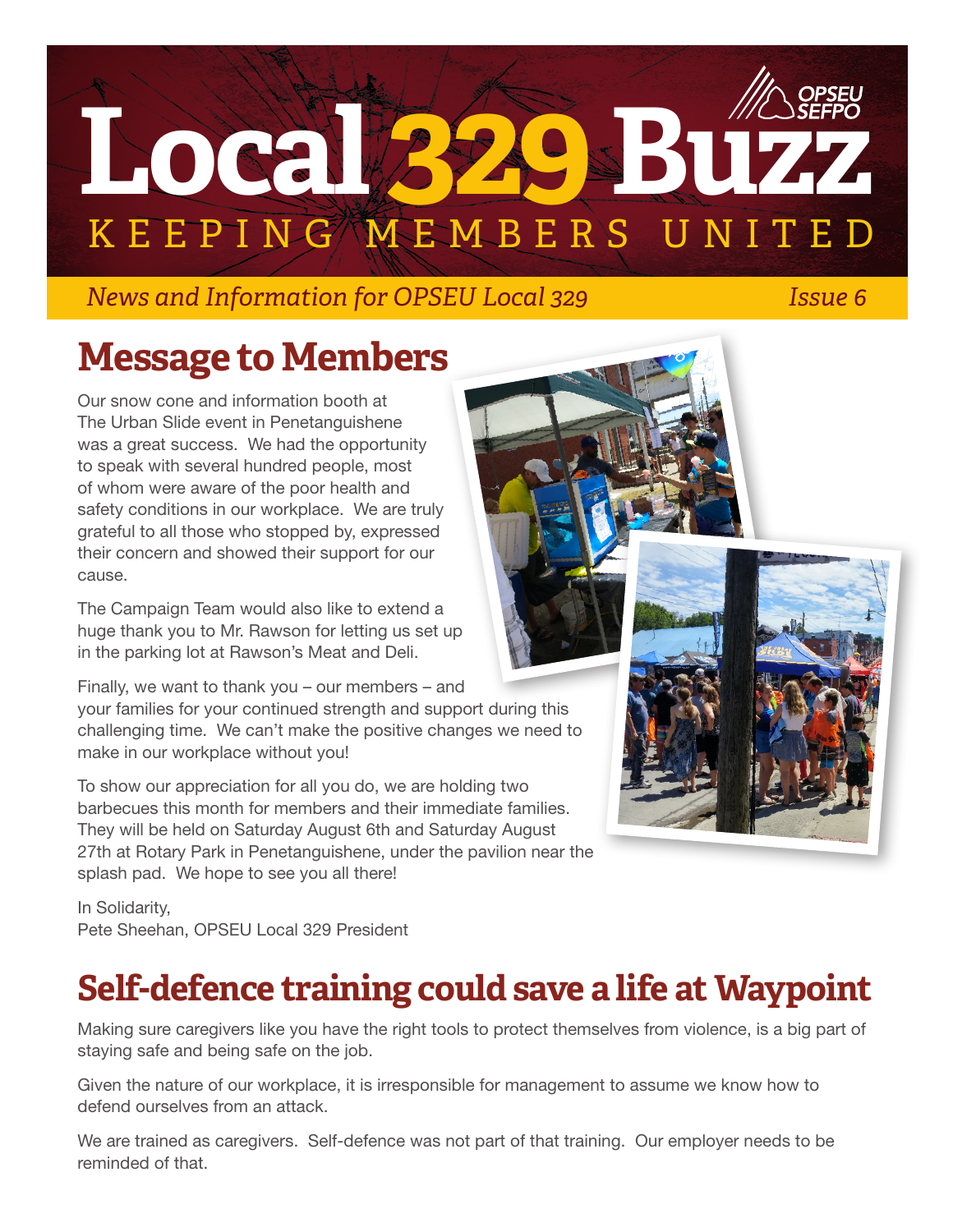

### *News and Information for OPSEU Local 329 Issue 6*

## **Message to Members**

Our snow cone and information booth at The Urban Slide event in Penetanguishene was a great success. We had the opportunity to speak with several hundred people, most of whom were aware of the poor health and safety conditions in our workplace. We are truly grateful to all those who stopped by, expressed their concern and showed their support for our cause.

The Campaign Team would also like to extend a huge thank you to Mr. Rawson for letting us set up in the parking lot at Rawson's Meat and Deli.

Finally, we want to thank you – our members – and

your families for your continued strength and support during this challenging time. We can't make the positive changes we need to make in our workplace without you!

To show our appreciation for all you do, we are holding two barbecues this month for members and their immediate families. They will be held on Saturday August 6th and Saturday August 27th at Rotary Park in Penetanguishene, under the pavilion near the splash pad. We hope to see you all there!

In Solidarity, Pete Sheehan, OPSEU Local 329 President

### **Self-defence training could save a life at Waypoint**

Making sure caregivers like you have the right tools to protect themselves from violence, is a big part of staying safe and being safe on the job.

Given the nature of our workplace, it is irresponsible for management to assume we know how to defend ourselves from an attack.

We are trained as caregivers. Self-defence was not part of that training. Our employer needs to be reminded of that.